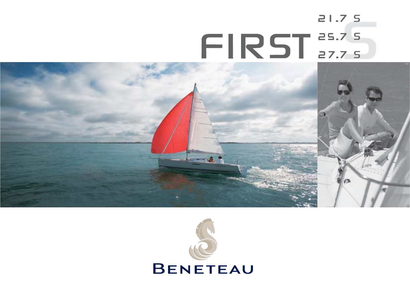## 21.7 5 FIRST<sup>25.75</sup>



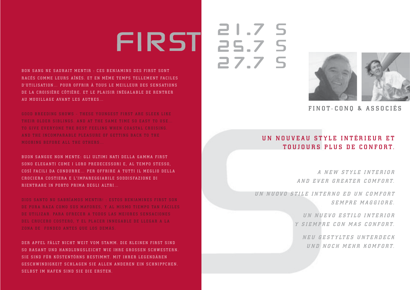# FIRST

BON SANG NE SAURAIT MENTIR : CES BENJAMINS DES FIRST SONT RACÉS COMME LEURS AÎNÉS. ET EN MÊME TEMPS TELLEMENT FACILES D'UTILISATION... POUR OFFRIR À TOUS LE MEILLEUR DES SENSATIONS DE LA CROISIÈRE CÔTIÈRE. ET LE PLAISIR INÉGALABLE DE RENTRER AU MOUILLAGE AVANT LES AUTRES...

GOOD BREEDING SHOWS - THESE YOUNGEST FIRST ARE SLEEK LIKE THEIR OLDER SIBLINGS. AND AT THE SAME TIME SO EASY TO USE. TO GIVE EVERYONE THE BEST FEELING WHEN COASTAL CRUISING. AND THE INCOMPARABLE PLEASURE OF GETTING BACK TO THE MOORING BEFORE ALL THE OTHERS..

BUON SANGUE NON MENTE: GLI ULTIMI NATI DELLA GAMMA FIRST SONO ELEGANTI COME I LORO PREDECESSORI E, AL TEMPO STESSO, COSÌ FACILI DA CONDURRE... PER OFFRIRE A TUTTI IL MEGLIO DELLA CROCIERA COSTIERA E L'IMPAREGGIABILE SODDISFAZIONE DI RIENTRARE IN PORTO PRIMA DEGLI ALTRI...

DIOS SANTO NO SABRÍAMOS MENTIRI: ESTOS BENJAMINES FIRST SON DE PURA RAZA COMO SUS MAYORES. Y AL MISMO TIEMPO TAN FÁCILES DE UTILIZAR. PARA OFRECER A TODOS LAS MEJORES SENSACIONES DEL CRUCERO COSTERO, Y EL PLACER INNEGABLE DE LLEGAR A LA ZONA DE FONDEO ANTES QUE LOS DEMÁS.

DER APFEL FÄLLT NICHT WEIT VOM STAMM. DIE KLEINEN FIRST SIND SO RASANT UND HANDLUNGSLEICHT WIE IHRE GROSSEN SCHWESTERN. SIE SIND FÜR KÜSTENTÖRNS BESTIMMT. MIT IHRER LEGENDÄREN GESCHWINDIGKEIT SCHLAGEN SIE ALLEN ANDEREN EIN SCHNIPPCHEN. SELBST IM HAFEN SIND SIE DIE ERSTEN.

#### 21.7 S 25.7 S 27.7 S



FINOT-CONO & ASSOCIÉS

#### HN NOUVEAU STYLE INTÉRIEUR ET TOUIDURS PLUS DE CONFORT

A NEW STYLE INTERIOR AND EVER GREATER COMFORT.

UN NUOVO STILE INTERNO ED UN COMFORT SEMPRE MAGGIORE.

> UN NUEVO ESTILO INTERIOR Y SIEMPRE CON MAS CONFORT

NEU GESTYLTES UNTERDECK UND NOCH MEHR KOMFORT.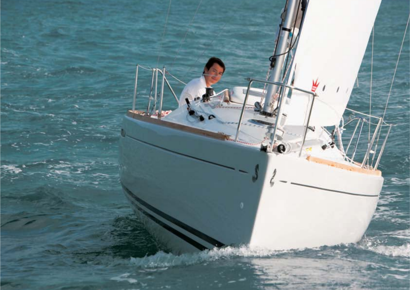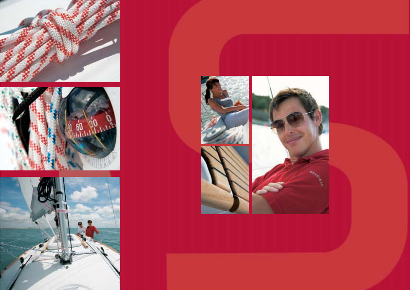





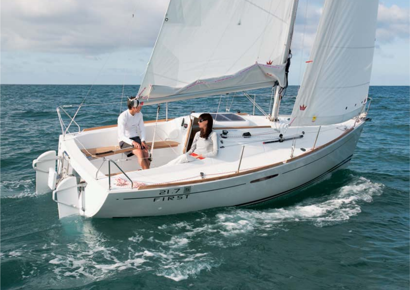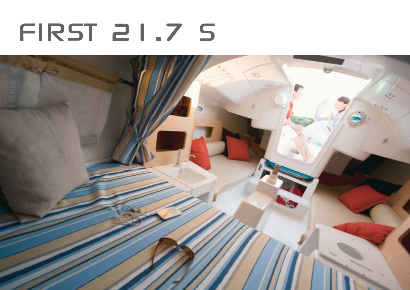## FIRST 21.7 S

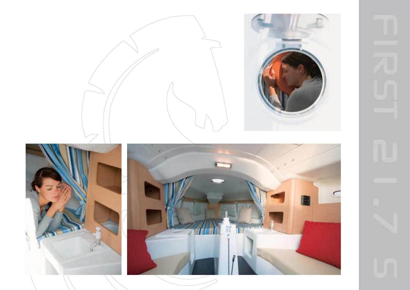